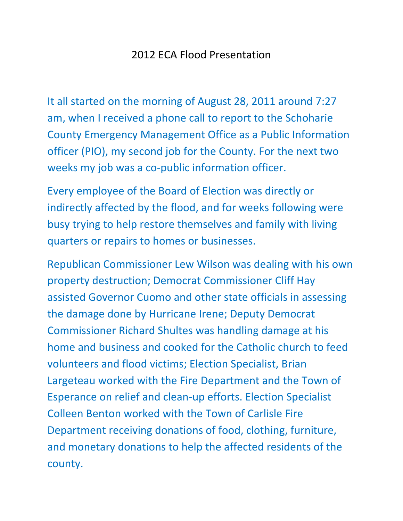## 2012 ECA Flood Presentation

It all started on the morning of August 28, 2011 around 7:27 am, when I received a phone call to report to the Schoharie County Emergency Management Office as a Public Information officer (PIO), my second job for the County. For the next two weeks my job was a co-public information officer.

Every employee of the Board of Election was directly or indirectly affected by the flood, and for weeks following were busy trying to help restore themselves and family with living quarters or repairs to homes or businesses.

Republican Commissioner Lew Wilson was dealing with his own property destruction; Democrat Commissioner Cliff Hay assisted Governor Cuomo and other state officials in assessing the damage done by Hurricane Irene; Deputy Democrat Commissioner Richard Shultes was handling damage at his home and business and cooked for the Catholic church to feed volunteers and flood victims; Election Specialist, Brian Largeteau worked with the Fire Department and the Town of Esperance on relief and clean-up efforts. Election Specialist Colleen Benton worked with the Town of Carlisle Fire Department receiving donations of food, clothing, furniture, and monetary donations to help the affected residents of the county.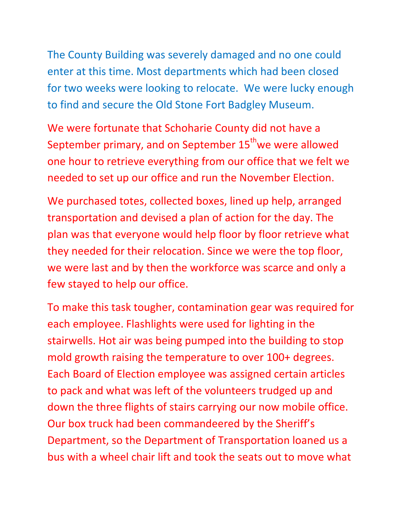The County Building was severely damaged and no one could enter at this time. Most departments which had been closed for two weeks were looking to relocate. We were lucky enough to find and secure the Old Stone Fort Badgley Museum.

We were fortunate that Schoharie County did not have a September primary, and on September 15<sup>th</sup>we were allowed one hour to retrieve everything from our office that we felt we needed to set up our office and run the November Election.

We purchased totes, collected boxes, lined up help, arranged transportation and devised a plan of action for the day. The plan was that everyone would help floor by floor retrieve what they needed for their relocation. Since we were the top floor, we were last and by then the workforce was scarce and only a few stayed to help our office.

To make this task tougher, contamination gear was required for each employee. Flashlights were used for lighting in the stairwells. Hot air was being pumped into the building to stop mold growth raising the temperature to over 100+ degrees. Each Board of Election employee was assigned certain articles to pack and what was left of the volunteers trudged up and down the three flights of stairs carrying our now mobile office. Our box truck had been commandeered by the Sheriff's Department, so the Department of Transportation loaned us a bus with a wheel chair lift and took the seats out to move what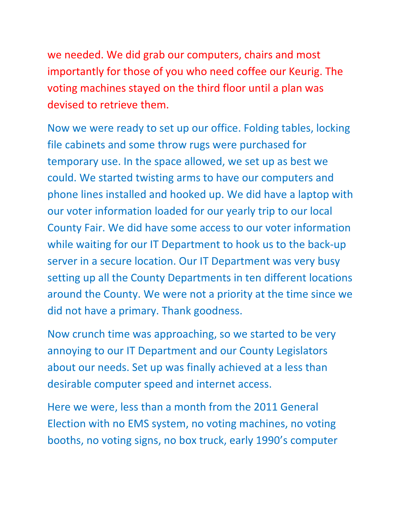we needed. We did grab our computers, chairs and most importantly for those of you who need coffee our Keurig. The voting machines stayed on the third floor until a plan was devised to retrieve them.

Now we were ready to set up our office. Folding tables, locking file cabinets and some throw rugs were purchased for temporary use. In the space allowed, we set up as best we could. We started twisting arms to have our computers and phone lines installed and hooked up. We did have a laptop with our voter information loaded for our yearly trip to our local County Fair. We did have some access to our voter information while waiting for our IT Department to hook us to the back-up server in a secure location. Our IT Department was very busy setting up all the County Departments in ten different locations around the County. We were not a priority at the time since we did not have a primary. Thank goodness.

Now crunch time was approaching, so we started to be very annoying to our IT Department and our County Legislators about our needs. Set up was finally achieved at a less than desirable computer speed and internet access.

Here we were, less than a month from the 2011 General Election with no EMS system, no voting machines, no voting booths, no voting signs, no box truck, early 1990's computer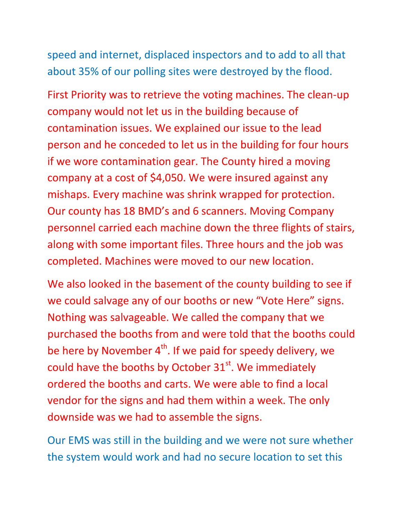speed and internet, displaced inspectors and to add to all that about 35% of our polling sites were destroyed by the flood.

First Priority was to retrieve the voting machines. The clean-up company would not let us in the building because of contamination issues. We explained our issue to the lead person and he conceded to let us in the building for four hours if we wore contamination gear. The County hired a moving company at a cost of \$4,050. We were insured against any mishaps. Every machine was shrink wrapped for protection. Our county has 18 BMD's and 6 scanners. Moving Company personnel carried each machine down the three flights of stairs, along with some important files. Three hours and the job was completed. Machines were moved to our new location.

We also looked in the basement of the county building to see if we could salvage any of our booths or new "Vote Here" signs. Nothing was salvageable. We called the company that we purchased the booths from and were told that the booths could be here by November  $4<sup>th</sup>$ . If we paid for speedy delivery, we could have the booths by October  $31<sup>st</sup>$ . We immediately ordered the booths and carts. We were able to find a local vendor for the signs and had them within a week. The only downside was we had to assemble the signs.

Our EMS was still in the building and we were not sure whether the system would work and had no secure location to set this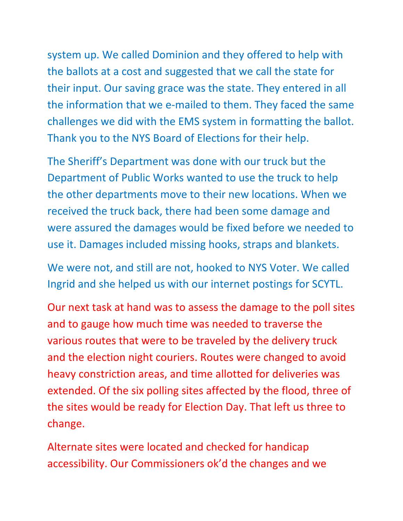system up. We called Dominion and they offered to help with the ballots at a cost and suggested that we call the state for their input. Our saving grace was the state. They entered in all the information that we e-mailed to them. They faced the same challenges we did with the EMS system in formatting the ballot. Thank you to the NYS Board of Elections for their help.

The Sheriff's Department was done with our truck but the Department of Public Works wanted to use the truck to help the other departments move to their new locations. When we received the truck back, there had been some damage and were assured the damages would be fixed before we needed to use it. Damages included missing hooks, straps and blankets.

We were not, and still are not, hooked to NYS Voter. We called Ingrid and she helped us with our internet postings for SCYTL.

Our next task at hand was to assess the damage to the poll sites and to gauge how much time was needed to traverse the various routes that were to be traveled by the delivery truck and the election night couriers. Routes were changed to avoid heavy constriction areas, and time allotted for deliveries was extended. Of the six polling sites affected by the flood, three of the sites would be ready for Election Day. That left us three to change.

Alternate sites were located and checked for handicap accessibility. Our Commissioners ok'd the changes and we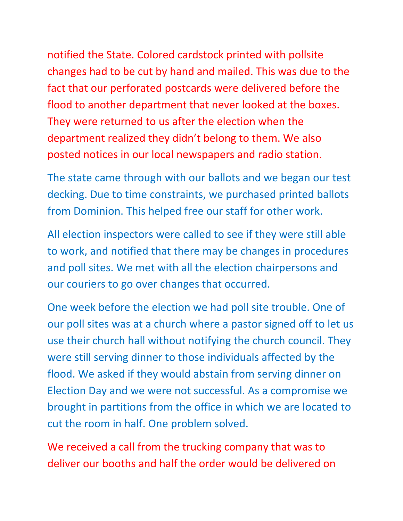notified the State. Colored cardstock printed with pollsite changes had to be cut by hand and mailed. This was due to the fact that our perforated postcards were delivered before the flood to another department that never looked at the boxes. They were returned to us after the election when the department realized they didn't belong to them. We also posted notices in our local newspapers and radio station.

The state came through with our ballots and we began our test decking. Due to time constraints, we purchased printed ballots from Dominion. This helped free our staff for other work.

All election inspectors were called to see if they were still able to work, and notified that there may be changes in procedures and poll sites. We met with all the election chairpersons and our couriers to go over changes that occurred.

One week before the election we had poll site trouble. One of our poll sites was at a church where a pastor signed off to let us use their church hall without notifying the church council. They were still serving dinner to those individuals affected by the flood. We asked if they would abstain from serving dinner on Election Day and we were not successful. As a compromise we brought in partitions from the office in which we are located to cut the room in half. One problem solved.

We received a call from the trucking company that was to deliver our booths and half the order would be delivered on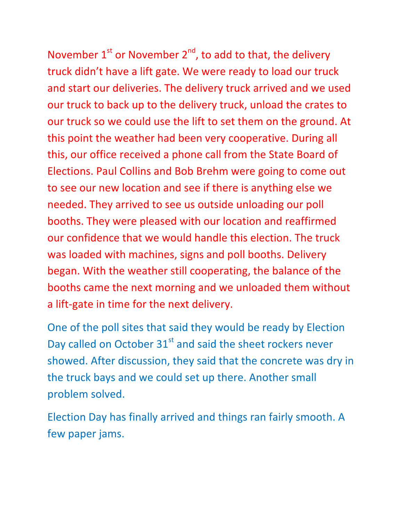November  $1<sup>st</sup>$  or November  $2<sup>nd</sup>$ , to add to that, the delivery truck didn't have a lift gate. We were ready to load our truck and start our deliveries. The delivery truck arrived and we used our truck to back up to the delivery truck, unload the crates to our truck so we could use the lift to set them on the ground. At this point the weather had been very cooperative. During all this, our office received a phone call from the State Board of Elections. Paul Collins and Bob Brehm were going to come out to see our new location and see if there is anything else we needed. They arrived to see us outside unloading our poll booths. They were pleased with our location and reaffirmed our confidence that we would handle this election. The truck was loaded with machines, signs and poll booths. Delivery began. With the weather still cooperating, the balance of the booths came the next morning and we unloaded them without a lift-gate in time for the next delivery.

One of the poll sites that said they would be ready by Election Day called on October  $31<sup>st</sup>$  and said the sheet rockers never showed. After discussion, they said that the concrete was dry in the truck bays and we could set up there. Another small problem solved.

Election Day has finally arrived and things ran fairly smooth. A few paper jams.